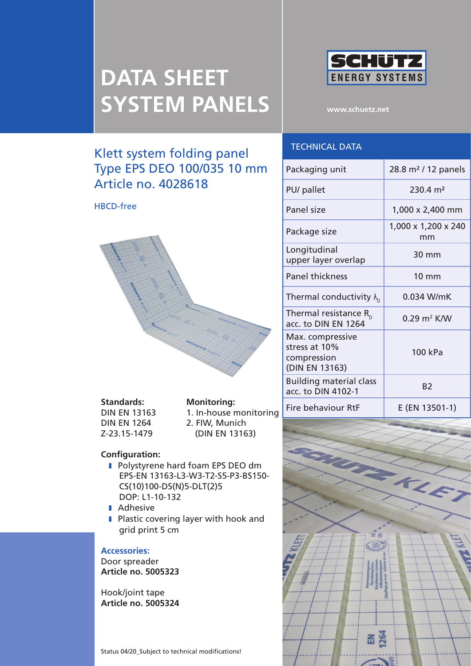

**www.schuetz.net**

# Klett system folding panel Type EPS DEO 100/035 10 mm Article no. 4028618

HBCD-free



**Standards: Monitoring:** Z-23.15-1479 (DIN EN 13163)

DIN EN 13163 1. In-house monitoring DIN EN 1264 2. FIW, Munich

#### **Configuration:**

- **I** Polystyrene hard foam EPS DEO dm EPS-EN 13163-L3-W3-T2-S5-P3-BS150- CS(10)100-DS(N)5-DLT(2)5 DOP: L1-10-132
- **I** Adhesive
- **I** Plastic covering layer with hook and grid print 5 cm

#### **Accessories:**

Door spreader **Article no. 5005323**

Hook/joint tape **Article no. 5005324**

Status 04/20\_Subject to technical modifications!

## Technical data

| Packaging unit                                                     | 28.8 m <sup>2</sup> / 12 panels |
|--------------------------------------------------------------------|---------------------------------|
| PU/ pallet                                                         | $230.4 \text{ m}^2$             |
| Panel size                                                         | 1,000 x 2,400 mm                |
| Package size                                                       | 1,000 x 1,200 x 240<br>mm       |
| Longitudinal<br>upper layer overlap                                | 30 mm                           |
| <b>Panel thickness</b>                                             | $10 \text{ mm}$                 |
| Thermal conductivity $\lambda_{\text{n}}$                          | $0.034$ W/mK                    |
| Thermal resistance $R_{n}$<br>acc. to DIN EN 1264                  | $0.29 \text{ m}^2$ K/W          |
| Max. compressive<br>stress at 10%<br>compression<br>(DIN EN 13163) | 100 kPa                         |
| <b>Building material class</b><br>acc. to DIN 4102-1               | B <sub>2</sub>                  |
| Fire behaviour RtF                                                 | E (EN 13501-1)                  |

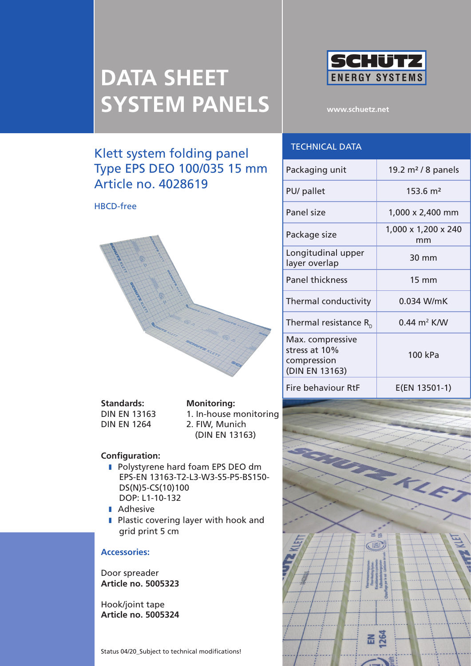

**www.schuetz.net**

# Klett system folding panel Type EPS DEO 100/035 15 mm Article no. 4028619

HBCD-free



**Standards: Monitoring:**

DIN EN 13163 1. In-house monitoring DIN EN 1264 2. FIW, Munich (DIN EN 13163)

#### **Configuration:**

- **I** Polystyrene hard foam EPS DEO dm EPS-EN 13163-T2-L3-W3-S5-P5-BS150- DS(N)5-CS(10)100 DOP: L1-10-132
- **I** Adhesive
- **I** Plastic covering layer with hook and grid print 5 cm

#### **Accessories:**

Door spreader **Article no. 5005323**

Hook/joint tape **Article no. 5005324**

Status 04/20\_Subject to technical modifications!

### Technical data

| Packaging unit                                                     | 19.2 $m2$ / 8 panels               |
|--------------------------------------------------------------------|------------------------------------|
| PU/ pallet                                                         | $153.6 \; \text{m}^2$              |
| Panel size                                                         | 1,000 x 2,400 mm                   |
| Package size                                                       | 1,000 x 1,200 x 240<br>mm          |
| Longitudinal upper<br>layer overlap                                | 30 mm                              |
| <b>Panel thickness</b>                                             | $15 \text{ mm}$                    |
| Thermal conductivity                                               | 0.034 W/mK                         |
| Thermal resistance $R_{n}$                                         | $0.44 \; \text{m}^2 \; \text{K/W}$ |
| Max. compressive<br>stress at 10%<br>compression<br>(DIN EN 13163) | 100 kPa                            |
| Fire behaviour RtF                                                 | E(EN 13501-1)                      |

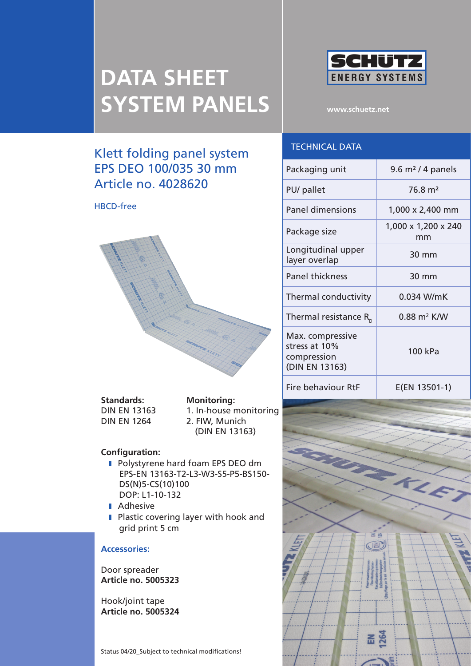Klett folding panel system EPS DEO 100/035 30 mm

Article no. 4028620

HBCD-free



**www.schuetz.net**

### Technical data

| Packaging unit                                                     | 9.6 $m2$ / 4 panels                |
|--------------------------------------------------------------------|------------------------------------|
| PU/ pallet                                                         | $76.8 \text{ m}^2$                 |
| <b>Panel dimensions</b>                                            | 1,000 x 2,400 mm                   |
| Package size                                                       | 1,000 x 1,200 x 240<br>mm          |
| Longitudinal upper<br>layer overlap                                | 30 mm                              |
| <b>Panel thickness</b>                                             | 30 mm                              |
| Thermal conductivity                                               | 0.034 W/mK                         |
| Thermal resistance $R_{n}$                                         | $0.88 \; \text{m}^2 \; \text{K/W}$ |
| Max. compressive<br>stress at 10%<br>compression<br>(DIN EN 13163) | 100 kPa                            |
| Fire behaviour RtF                                                 | E(EN 13501-1)                      |

**Standards: Monitoring:**

DIN EN 13163 1. In-house monitoring DIN EN 1264 2. FIW, Munich (DIN EN 13163)

#### **Configuration:**

- **I** Polystyrene hard foam EPS DEO dm EPS-EN 13163-T2-L3-W3-S5-P5-BS150- DS(N)5-CS(10)100 DOP: L1-10-132
- **Adhesive**
- **I** Plastic covering layer with hook and grid print 5 cm

#### **Accessories:**

Door spreader **Article no. 5005323**

Hook/joint tape **Article no. 5005324**

Status 04/20\_Subject to technical modifications!

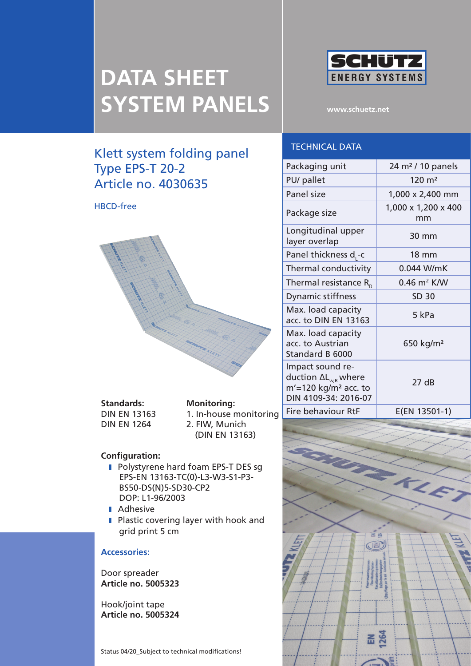## Klett system folding panel Type EPS-T 20-2 Article no. 4030635

#### HBCD-free



**Standards: Monitoring:** DIN EN 1264 2. FIW, Munich

DIN EN 13163 1. In-house monitoring

(DIN EN 13163)

#### **Configuration:**

- **I** Polystyrene hard foam EPS-T DES sg EPS-EN 13163-TC(0)-L3-W3-S1-P3- BS50-DS(N)5-SD30-CP2 DOP: L1-96/2003
- **I** Adhesive
- **I** Plastic covering layer with hook and grid print 5 cm

#### **Accessories:**

Door spreader **Article no. 5005323**

Hook/joint tape **Article no. 5005324**

Status 04/20\_Subject to technical modifications!



**www.schuetz.net**

### Technical data

| Packaging unit                                                                                                    | 24 m <sup>2</sup> / 10 panels      |
|-------------------------------------------------------------------------------------------------------------------|------------------------------------|
| PU/ pallet                                                                                                        | $120 \; \mathrm{m}^2$              |
| Panel size                                                                                                        | 1,000 x 2,400 mm                   |
| Package size                                                                                                      | 1,000 x 1,200 x 400<br>mm          |
| Longitudinal upper<br>layer overlap                                                                               | 30 mm                              |
| Panel thickness d <sub>r</sub> -c                                                                                 | 18 mm                              |
| Thermal conductivity                                                                                              | 0.044 W/mK                         |
| Thermal resistance $R_{n}$                                                                                        | $0.46 \; \text{m}^2 \; \text{K/W}$ |
| <b>Dynamic stiffness</b>                                                                                          | <b>SD 30</b>                       |
| Max. load capacity<br>acc. to DIN EN 13163                                                                        | 5 kPa                              |
| Max. load capacity<br>acc. to Austrian<br>Standard B 6000                                                         | 650 kg/m <sup>2</sup>              |
| Impact sound re-<br>duction $\Delta L_{w,R}$ where<br>$m'$ =120 kg/m <sup>2</sup> acc. to<br>DIN 4109-34: 2016-07 | 27dB                               |
| Fire behaviour RtF                                                                                                | E(EN 13501-1)                      |